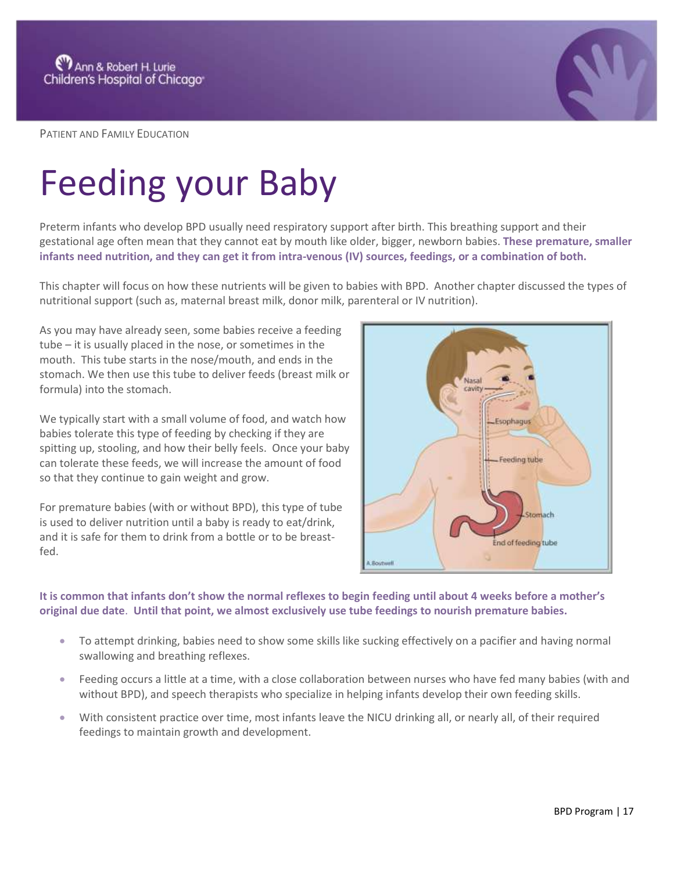

PATIENT AND FAMILY EDUCATION

## Feeding your Baby

Preterm infants who develop BPD usually need respiratory support after birth. This breathing support and their gestational age often mean that they cannot eat by mouth like older, bigger, newborn babies. **These premature, smaller infants need nutrition, and they can get it from intra-venous (IV) sources, feedings, or a combination of both.** 

This chapter will focus on how these nutrients will be given to babies with BPD. Another chapter discussed the types of nutritional support (such as, maternal breast milk, donor milk, parenteral or IV nutrition).

As you may have already seen, some babies receive a feeding tube – it is usually placed in the nose, or sometimes in the mouth. This tube starts in the nose/mouth, and ends in the stomach. We then use this tube to deliver feeds (breast milk or formula) into the stomach.

We typically start with a small volume of food, and watch how babies tolerate this type of feeding by checking if they are spitting up, stooling, and how their belly feels. Once your baby can tolerate these feeds, we will increase the amount of food so that they continue to gain weight and grow.

For premature babies (with or without BPD), this type of tube is used to deliver nutrition until a baby is ready to eat/drink, and it is safe for them to drink from a bottle or to be breastfed.



**It is common that infants don't show the normal reflexes to begin feeding until about 4 weeks before a mother's original due date**. **Until that point, we almost exclusively use tube feedings to nourish premature babies.** 

- To attempt drinking, babies need to show some skills like sucking effectively on a pacifier and having normal swallowing and breathing reflexes.
- Feeding occurs a little at a time, with a close collaboration between nurses who have fed many babies (with and without BPD), and speech therapists who specialize in helping infants develop their own feeding skills.
- With consistent practice over time, most infants leave the NICU drinking all, or nearly all, of their required feedings to maintain growth and development.